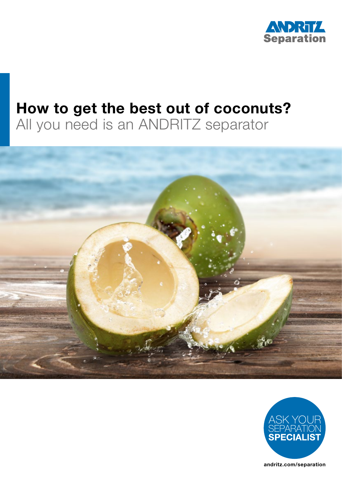

# How to get the best out of coconuts?

All you need is an ANDRITZ separator



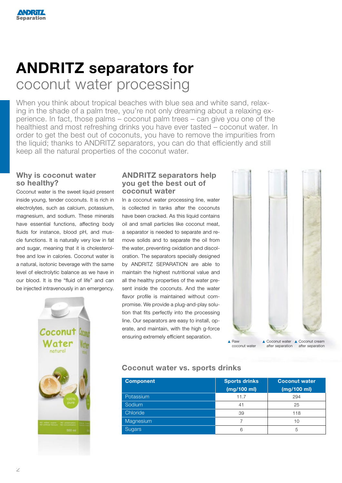# ANDRITZ separators for coconut water processing

When you think about tropical beaches with blue sea and white sand, relaxing in the shade of a palm tree, you're not only dreaming about a relaxing experience. In fact, those palms – coconut palm trees – can give you one of the healthiest and most refreshing drinks you have ever tasted – coconut water. In order to get the best out of coconuts, you have to remove the impurities from the liquid; thanks to ANDRITZ separators, you can do that efficiently and still keep all the natural properties of the coconut water.

#### Why is coconut water so healthy?

Coconut water is the sweet liquid present inside young, tender coconuts. It is rich in electrolytes, such as calcium, potassium, magnesium, and sodium. These minerals have essential functions, affecting body fluids for instance, blood pH, and muscle functions. It is naturally very low in fat and sugar, meaning that it is cholesterolfree and low in calories. Coconut water is a natural, isotonic beverage with the same level of electrolytic balance as we have in our blood. It is the "fluid of life" and can be injected intravenously in an emergency.



#### ANDRITZ separators help you get the best out of coconut water

In a coconut water processing line, water is collected in tanks after the coconuts have been cracked. As this liquid contains oil and small particles like coconut meat, a separator is needed to separate and remove solids and to separate the oil from the water, preventing oxidation and discoloration. The separators specially designed by ANDRITZ SEPARATION are able to maintain the highest nutritional value and all the healthy properties of the water present inside the coconuts. And the water flavor profile is maintained without compromise. We provide a plug-and-play solution that fits perfectly into the processing line. Our separators are easy to install, operate, and maintain, with the high g-force ensuring extremely efficient separation.



Coconut water vs. sports drinks

| <b>Component</b> | <b>Sports drinks</b><br>(mg/100 ml) | <b>Coconut water</b><br>(mg/100 ml) |
|------------------|-------------------------------------|-------------------------------------|
| Potassium        | 11.7                                | 294                                 |
| Sodium           | 41                                  | 25                                  |
| Chloride         | 39                                  | 118                                 |
| Magnesium        |                                     | 10                                  |
| Sugars           | 6                                   | 5                                   |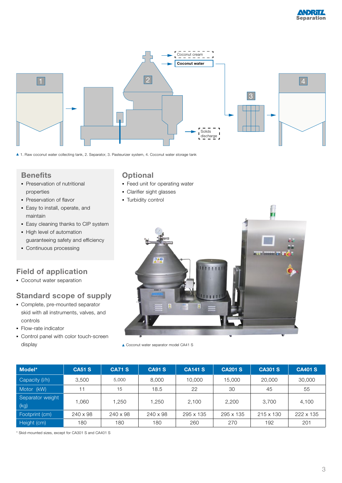

1. Raw coconut water collecting tank, 2. Separator, 3. Pasteurizer system, 4. Coconut water storage tank

#### **Benefits**

- **Preservation of nutritional** properties
- **Preservation of flavor**
- Easy to install, operate, and maintain
- **Easy cleaning thanks to CIP system**
- High level of automation guaranteeing safety and efficiency
- Continuous processing

# Field of application

**Coconut water separation** 

# Standard scope of supply

- Complete, pre-mounted separator skid with all instruments, valves, and controls
- Flow-rate indicator
- Control panel with color touch-screen display

# **Optional**

- **Feed unit for operating water**
- Clarifier sight glasses
- **Turbidity control**



▲ Coconut water separator model CA41 S

| Model*                   | <b>CA51 S</b>   | <b>CA71 S</b> | <b>CA91 S</b> | <b>CA141 S</b> | <b>CA201 S</b> | <b>CA301 S</b> | <b>CA401 S</b> |
|--------------------------|-----------------|---------------|---------------|----------------|----------------|----------------|----------------|
| Capacity (I/h)           | 3.500           | 5,000         | 8,000         | 10.000         | 15,000         | 20,000         | 30,000         |
| Motor (kW)               | 11              | 15            | 18.5          | 22             | 30             | 45             | 55             |
| Separator weight<br>(kg) | 1.060           | .250          | 1,250         | 2,100          | 2,200          | 3.700          | 4,100          |
| Footprint (cm)           | $240 \times 98$ | 240 x 98      | 240 x 98      | 295 x 135      | 295 x 135      | 215 x 130      | 222 x 135      |
| Height (cm)              | 180             | 180           | 180           | 260            | 270            | 192            | 201            |

\* Skid-mounted sizes, except for CA301 S and CA401 S